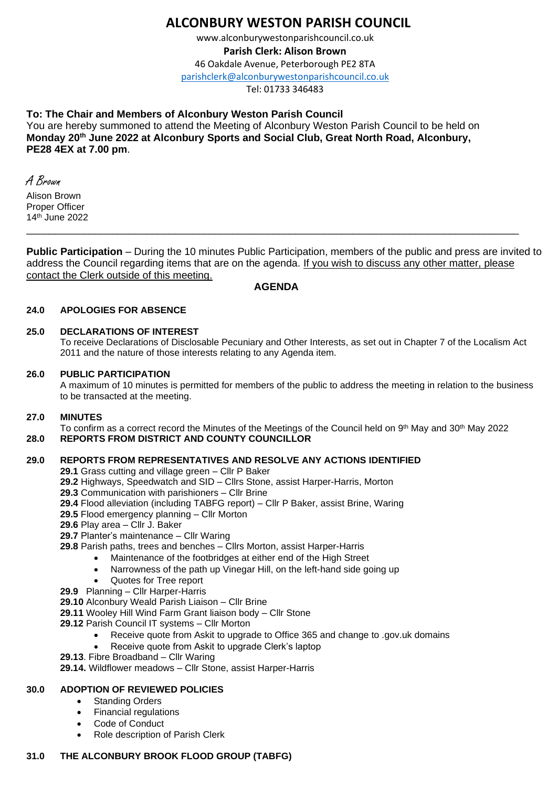# **ALCONBURY WESTON PARISH COUNCIL**

www.alconburywestonparishcouncil.co.uk

**Parish Clerk: Alison Brown**

46 Oakdale Avenue, Peterborough PE2 8TA

[parishclerk@alconburywestonparishcouncil.co.uk](mailto:parishclerk@alconburyparishcouncil.co.uk)

Tel: 01733 346483

# **To: The Chair and Members of Alconbury Weston Parish Council**

You are hereby summoned to attend the Meeting of Alconbury Weston Parish Council to be held on **Monday 20th June 2022 at Alconbury Sports and Social Club, Great North Road, Alconbury, PE28 4EX at 7.00 pm**.

A Brown Alison Brown Proper Officer 14th June 2022

**Public Participation** – During the 10 minutes Public Participation, members of the public and press are invited to address the Council regarding items that are on the agenda. If you wish to discuss any other matter, please contact the Clerk outside of this meeting.

# **AGENDA**

\_\_\_\_\_\_\_\_\_\_\_\_\_\_\_\_\_\_\_\_\_\_\_\_\_\_\_\_\_\_\_\_\_\_\_\_\_\_\_\_\_\_\_\_\_\_\_\_\_\_\_\_\_\_\_\_\_\_\_\_\_\_\_\_\_\_\_\_\_\_\_\_\_\_\_\_\_\_\_\_\_\_\_\_\_\_

### **24.0 APOLOGIES FOR ABSENCE**

### **25.0 DECLARATIONS OF INTEREST**

To receive Declarations of Disclosable Pecuniary and Other Interests, as set out in Chapter 7 of the Localism Act 2011 and the nature of those interests relating to any Agenda item.

### **26.0 PUBLIC PARTICIPATION**

A maximum of 10 minutes is permitted for members of the public to address the meeting in relation to the business to be transacted at the meeting.

### **27.0 MINUTES**

To confirm as a correct record the Minutes of the Meetings of the Council held on 9<sup>th</sup> May and 30<sup>th</sup> May 2022 **28.0 REPORTS FROM DISTRICT AND COUNTY COUNCILLOR**

# **29.0 REPORTS FROM REPRESENTATIVES AND RESOLVE ANY ACTIONS IDENTIFIED**

**29.1** Grass cutting and village green – Cllr P Baker

- **29.2** Highways, Speedwatch and SID Cllrs Stone, assist Harper-Harris, Morton
- **29.3** Communication with parishioners Cllr Brine
- **29.4** Flood alleviation (including TABFG report) Cllr P Baker, assist Brine, Waring
- **29.5** Flood emergency planning Cllr Morton
- **29.6** Play area Cllr J. Baker
- **29.7** Planter's maintenance Cllr Waring
- **29.8** Parish paths, trees and benches Cllrs Morton, assist Harper-Harris
	- Maintenance of the footbridges at either end of the High Street
	- Narrowness of the path up Vinegar Hill, on the left-hand side going up
	- Quotes for Tree report
- **29.9** Planning Cllr Harper-Harris
- **29.10** Alconbury Weald Parish Liaison Cllr Brine
- **29.11** Wooley Hill Wind Farm Grant liaison body Cllr Stone
- **29.12** Parish Council IT systems Cllr Morton
	- Receive quote from Askit to upgrade to Office 365 and change to .gov.uk domains
	- Receive quote from Askit to upgrade Clerk's laptop
- **29.13**. Fibre Broadband Cllr Waring

**29.14.** Wildflower meadows – Cllr Stone, assist Harper-Harris

# **30.0 ADOPTION OF REVIEWED POLICIES**

- Standing Orders
- Financial regulations
- Code of Conduct
- Role description of Parish Clerk

### **31.0 THE ALCONBURY BROOK FLOOD GROUP (TABFG)**